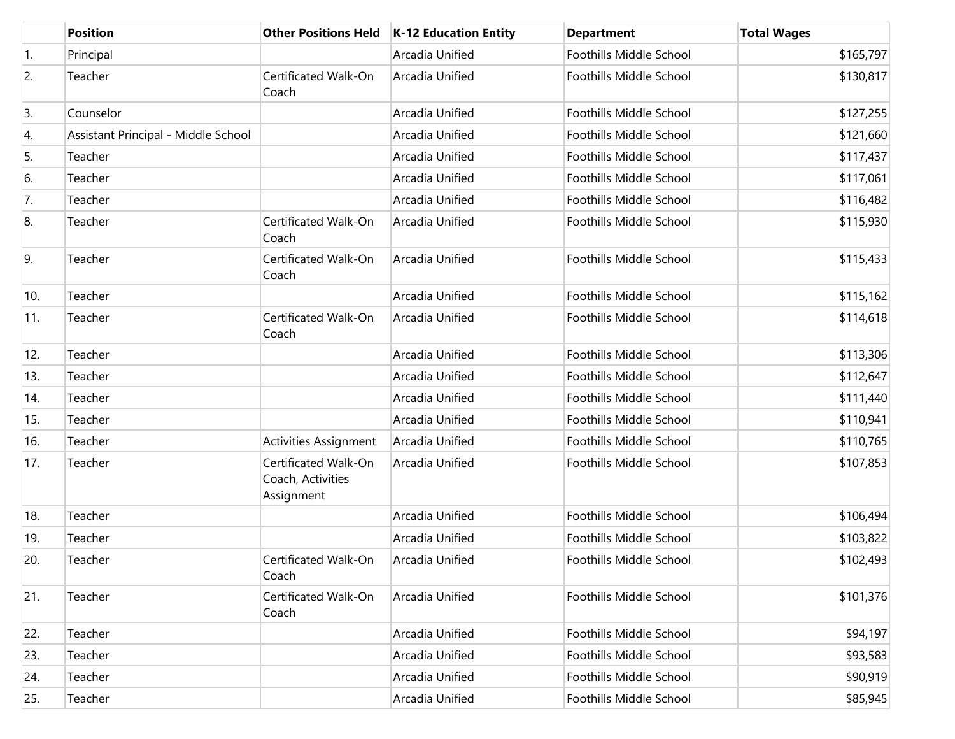|     | <b>Position</b>                     | <b>Other Positions Held</b>                             | K-12 Education Entity | <b>Department</b>              | <b>Total Wages</b> |
|-----|-------------------------------------|---------------------------------------------------------|-----------------------|--------------------------------|--------------------|
| 1.  | Principal                           |                                                         | Arcadia Unified       | Foothills Middle School        | \$165,797          |
| 2.  | Teacher                             | Certificated Walk-On<br>Coach                           | Arcadia Unified       | Foothills Middle School        | \$130,817          |
| 3.  | Counselor                           |                                                         | Arcadia Unified       | Foothills Middle School        | \$127,255          |
| 4.  | Assistant Principal - Middle School |                                                         | Arcadia Unified       | Foothills Middle School        | \$121,660          |
| 5.  | Teacher                             |                                                         | Arcadia Unified       | Foothills Middle School        | \$117,437          |
| 6.  | Teacher                             |                                                         | Arcadia Unified       | Foothills Middle School        | \$117,061          |
| 7.  | Teacher                             |                                                         | Arcadia Unified       | Foothills Middle School        | \$116,482          |
| 8.  | Teacher                             | Certificated Walk-On<br>Coach                           | Arcadia Unified       | Foothills Middle School        | \$115,930          |
| 9.  | Teacher                             | Certificated Walk-On<br>Coach                           | Arcadia Unified       | Foothills Middle School        | \$115,433          |
| 10. | Teacher                             |                                                         | Arcadia Unified       | Foothills Middle School        | \$115,162          |
| 11. | Teacher                             | Certificated Walk-On<br>Coach                           | Arcadia Unified       | Foothills Middle School        | \$114,618          |
| 12. | Teacher                             |                                                         | Arcadia Unified       | <b>Foothills Middle School</b> | \$113,306          |
| 13. | Teacher                             |                                                         | Arcadia Unified       | Foothills Middle School        | \$112,647          |
| 14. | Teacher                             |                                                         | Arcadia Unified       | Foothills Middle School        | \$111,440          |
| 15. | Teacher                             |                                                         | Arcadia Unified       | Foothills Middle School        | \$110,941          |
| 16. | Teacher                             | Activities Assignment                                   | Arcadia Unified       | Foothills Middle School        | \$110,765          |
| 17. | Teacher                             | Certificated Walk-On<br>Coach, Activities<br>Assignment | Arcadia Unified       | Foothills Middle School        | \$107,853          |
| 18. | Teacher                             |                                                         | Arcadia Unified       | <b>Foothills Middle School</b> | \$106,494          |
| 19. | Teacher                             |                                                         | Arcadia Unified       | Foothills Middle School        | \$103,822          |
| 20. | Teacher                             | Certificated Walk-On<br>Coach                           | Arcadia Unified       | Foothills Middle School        | \$102,493          |
| 21. | Teacher                             | Certificated Walk-On<br>Coach                           | Arcadia Unified       | Foothills Middle School        | \$101,376          |
| 22. | Teacher                             |                                                         | Arcadia Unified       | Foothills Middle School        | \$94,197           |
| 23. | Teacher                             |                                                         | Arcadia Unified       | Foothills Middle School        | \$93,583           |
| 24. | Teacher                             |                                                         | Arcadia Unified       | Foothills Middle School        | \$90,919           |
| 25. | Teacher                             |                                                         | Arcadia Unified       | Foothills Middle School        | \$85,945           |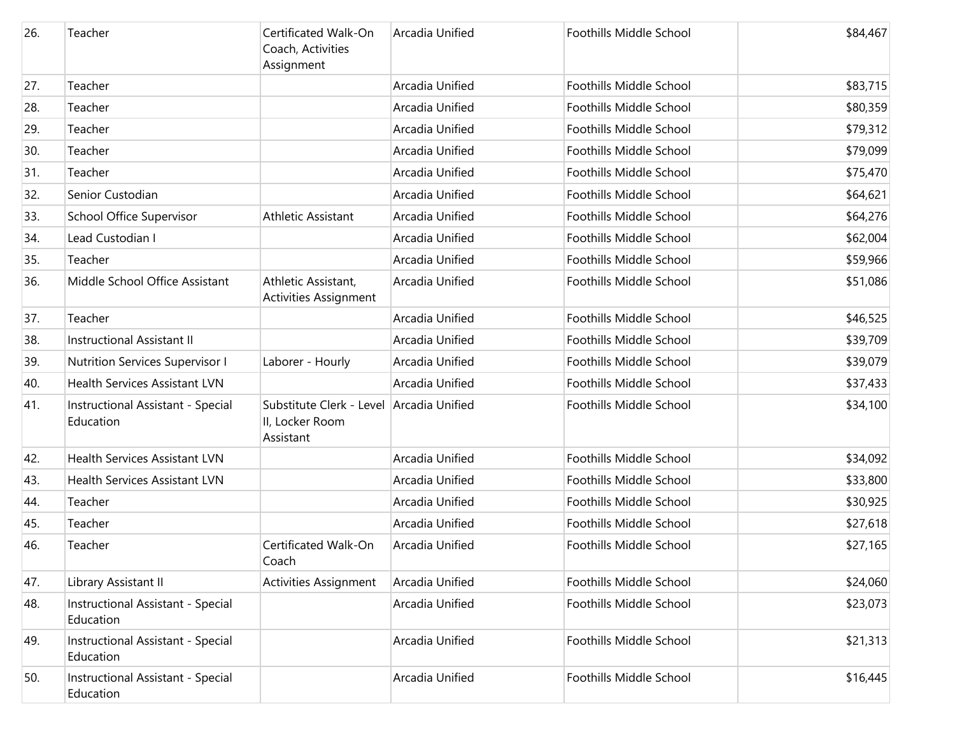| 26. | Teacher                                        | Certificated Walk-On<br>Coach, Activities<br>Assignment                  | Arcadia Unified | Foothills Middle School | \$84,467 |
|-----|------------------------------------------------|--------------------------------------------------------------------------|-----------------|-------------------------|----------|
| 27. | Teacher                                        |                                                                          | Arcadia Unified | Foothills Middle School | \$83,715 |
| 28. | Teacher                                        |                                                                          | Arcadia Unified | Foothills Middle School | \$80,359 |
| 29. | Teacher                                        |                                                                          | Arcadia Unified | Foothills Middle School | \$79,312 |
| 30. | Teacher                                        |                                                                          | Arcadia Unified | Foothills Middle School | \$79,099 |
| 31. | Teacher                                        |                                                                          | Arcadia Unified | Foothills Middle School | \$75,470 |
| 32. | Senior Custodian                               |                                                                          | Arcadia Unified | Foothills Middle School | \$64,621 |
| 33. | School Office Supervisor                       | <b>Athletic Assistant</b>                                                | Arcadia Unified | Foothills Middle School | \$64,276 |
| 34. | Lead Custodian I                               |                                                                          | Arcadia Unified | Foothills Middle School | \$62,004 |
| 35. | Teacher                                        |                                                                          | Arcadia Unified | Foothills Middle School | \$59,966 |
| 36. | Middle School Office Assistant                 | Athletic Assistant,<br><b>Activities Assignment</b>                      | Arcadia Unified | Foothills Middle School | \$51,086 |
| 37. | Teacher                                        |                                                                          | Arcadia Unified | Foothills Middle School | \$46,525 |
| 38. | Instructional Assistant II                     |                                                                          | Arcadia Unified | Foothills Middle School | \$39,709 |
| 39. | Nutrition Services Supervisor I                | Laborer - Hourly                                                         | Arcadia Unified | Foothills Middle School | \$39,079 |
| 40. | <b>Health Services Assistant LVN</b>           |                                                                          | Arcadia Unified | Foothills Middle School | \$37,433 |
| 41. | Instructional Assistant - Special<br>Education | Substitute Clerk - Level Arcadia Unified<br>II, Locker Room<br>Assistant |                 | Foothills Middle School | \$34,100 |
| 42. | <b>Health Services Assistant LVN</b>           |                                                                          | Arcadia Unified | Foothills Middle School | \$34,092 |
| 43. | <b>Health Services Assistant LVN</b>           |                                                                          | Arcadia Unified | Foothills Middle School | \$33,800 |
| 44. | Teacher                                        |                                                                          | Arcadia Unified | Foothills Middle School | \$30,925 |
| 45. | Teacher                                        |                                                                          | Arcadia Unified | Foothills Middle School | \$27,618 |
| 46. | Teacher                                        | Certificated Walk-On<br>Coach                                            | Arcadia Unified | Foothills Middle School | \$27,165 |
| 47. | Library Assistant II                           | <b>Activities Assignment</b>                                             | Arcadia Unified | Foothills Middle School | \$24,060 |
| 48. | Instructional Assistant - Special<br>Education |                                                                          | Arcadia Unified | Foothills Middle School | \$23,073 |
| 49. | Instructional Assistant - Special<br>Education |                                                                          | Arcadia Unified | Foothills Middle School | \$21,313 |
| 50. | Instructional Assistant - Special<br>Education |                                                                          | Arcadia Unified | Foothills Middle School | \$16,445 |